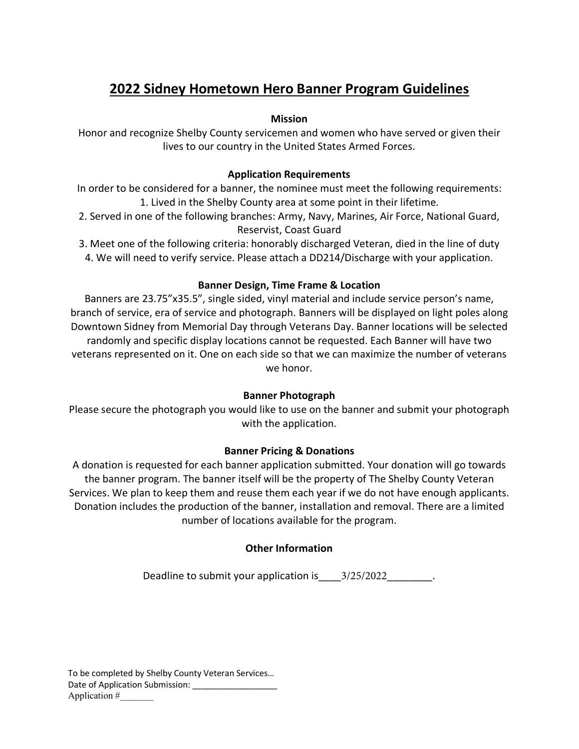# **2022 Sidney Hometown Hero Banner Program Guidelines**

#### **Mission**

Honor and recognize Shelby County servicemen and women who have served or given their lives to our country in the United States Armed Forces.

### **Application Requirements**

In order to be considered for a banner, the nominee must meet the following requirements: 1. Lived in the Shelby County area at some point in their lifetime.

- 2. Served in one of the following branches: Army, Navy, Marines, Air Force, National Guard, Reservist, Coast Guard
- 3. Meet one of the following criteria: honorably discharged Veteran, died in the line of duty 4. We will need to verify service. Please attach a DD214/Discharge with your application.

# **Banner Design, Time Frame & Location**

Banners are 23.75"x35.5", single sided, vinyl material and include service person's name, branch of service, era of service and photograph. Banners will be displayed on light poles along Downtown Sidney from Memorial Day through Veterans Day. Banner locations will be selected randomly and specific display locations cannot be requested. Each Banner will have two veterans represented on it. One on each side so that we can maximize the number of veterans we honor.

#### **Banner Photograph**

Please secure the photograph you would like to use on the banner and submit your photograph with the application.

# **Banner Pricing & Donations**

A donation is requested for each banner application submitted. Your donation will go towards the banner program. The banner itself will be the property of The Shelby County Veteran Services. We plan to keep them and reuse them each year if we do not have enough applicants. Donation includes the production of the banner, installation and removal. There are a limited number of locations available for the program.

# **Other Information**

Deadline to submit your application is  $3/25/2022$  .

To be completed by Shelby County Veteran Services… Date of Application Submission: \_\_\_\_\_\_\_\_\_\_\_\_ Application #\_\_\_\_\_\_\_